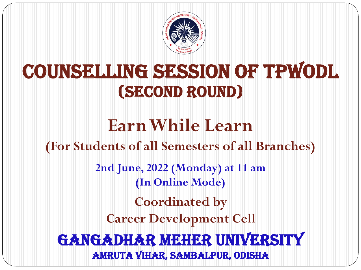

# CounselLing Session of TPWODL (second round)

# **Earn While Learn**

# **(For Students of all Semesters of all Branches)**

**2nd June, 2022 (Monday) at 11 am (In Online Mode)**

**Coordinated by**

**Career Development Cell** 

# Gangadhar Meher University Amruta Vihar, Sambalpur, Odisha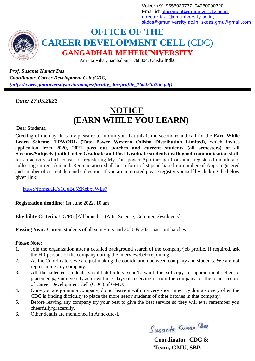Voice: +91-9658039777, 94380000720 Email-id: [placement@gmuniversity.ac.in,](mailto:placement@gmuniversity.ac.in) [director.iqac@gmuniversity.ac.in,](mailto:director.iqac@gmuniversity.ac.in) [skdas@gmuniversity.ac.in](mailto:skdas@gmuniversity.ac.in)[, skdas.gmu@gmail.com](mailto:%2Cskdas.gmu@gmail.com)



### **OFFICE OF THE CAREER DEVELOPMENT CELL (**CDC) **GANGADHAR MEHERUNIVERSITY**

Amruta Vihar, Sambalpur – 768004, Odisha,India

*Prof. Susanta Kumar Das Coordinator, Career Development Cell (CDC) [\(https://www.gmuniversity.ac.in/images/faculty\\_doc/profile\\_1604355256.pdf\)](https://www.gmuniversity.ac.in/images/faculty_doc/profile_1604355256.pdf)*

*Date: 27.05.2022*

## **NOTICE (EARN WHILE YOU LEARN)**

Dear Students,

Greeting of the day. It is my pleasure to inform you that this is the second round call for the **Earn While Learn Scheme, TPWODL (Tata Power Western Odisha Distribution Limited),** which invites application from **2020, 2021 pass out batches and current students (all semesters) of all Streams/Subjects (both Under Graduate and Post Graduate students) with good communication skill,** for an activity which consist of registering My Tata power App through Consumer registered mobile and collecting current demand. Remuneration shall be in form of stipend based on number of Apps registered and number of current demand collection. If you are interested please register yourself by clicking the below given link:

<https://forms.gle/x1GqBu5ZKebxvWEs7>

**Registration deadline:** 1st June 2022, 10 am

**Eligibility Criteria:** UG/PG [All branches (Arts, Science, Commerce)/subjects]

**Passing Year:** Current students of all semesters and 2020 & 2021 pass out batches

#### **Please Note:**

- 1. Join the organization after a detailed background search of the company/job profile. If required, ask the HR persons of the company during the interview/before joining.
- 2. As the Coordinators we are just making the coordination between company and students. We are not representing any company.
- 3. All the selected students should definitely send/forward the softcopy of appointment letter to [placement@gmuniversity.ac.in w](mailto:placement@gmuniversity.ac.in)ithin 7 days of receiving it from the company for the office record of Career Development Cell (CDC) of GMU.
- 4. Once you are joining a company, do not leave it within a very short time. By doing so very often the CDC is finding difficulty to place the more needy students of other batches in that company.
- 5. Before leaving any company try your best to give the best service so they will ever remember you cheerfully/gracefully.
- 6. Other details are mentioned in Annexure-I.

Susanta Kuman Dag

**Coordinator, CDC & Team, GMU, SBP.**